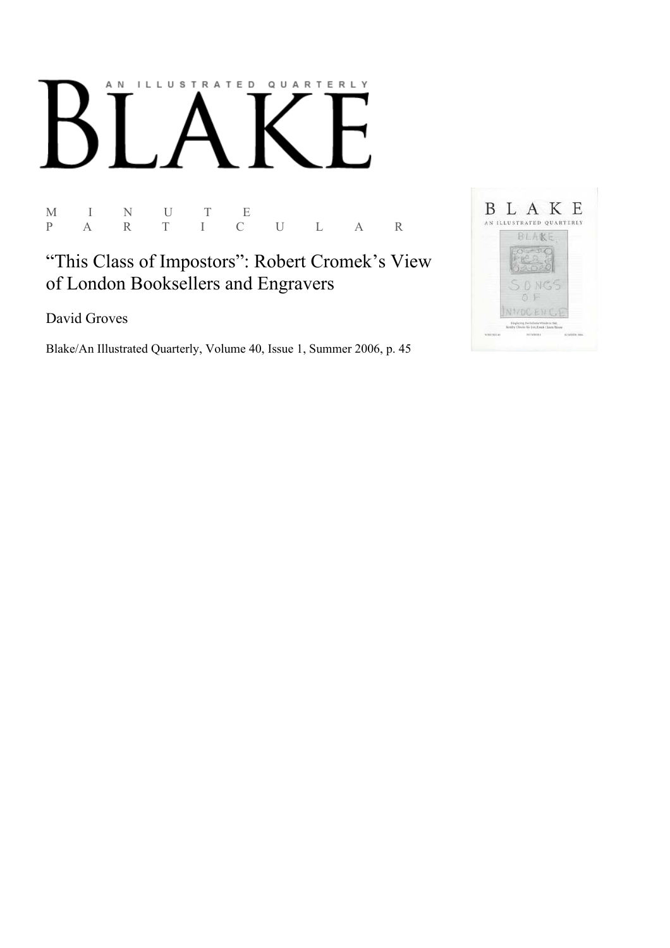# AN ILLUSTRATED QUARTERLY

M I N U T E P A R T I C U L A R

"This Class of Impostors": Robert Cromek's View of London Booksellers and Engravers

David Groves

Blake/An Illustrated Quarterly, Volume 40, Issue 1, Summer 2006, p. 45